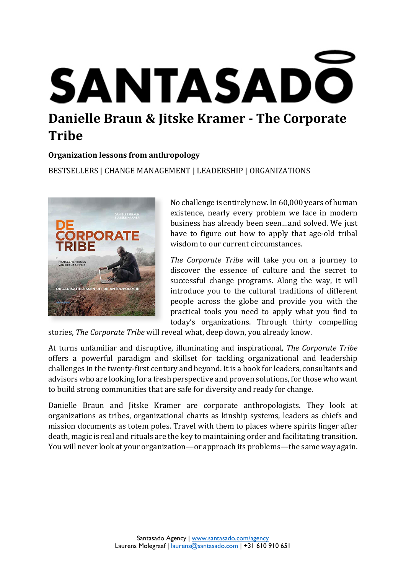# SANTASADO **Danielle Braun & Jitske Kramer - The Corporate Tribe**

## **Organization lessons from anthropology**

BESTSELLERS | CHANGE MANAGEMENT | LEADERSHIP | ORGANIZATIONS



No challenge is entirely new. In 60,000 years of human existence, nearly every problem we face in modern business has already been seen…and solved. We just have to figure out how to apply that age-old tribal wisdom to our current circumstances.

*The Corporate Tribe* will take you on a journey to discover the essence of culture and the secret to successful change programs. Along the way, it will introduce you to the cultural traditions of different people across the globe and provide you with the practical tools you need to apply what you find to today's organizations. Through thirty compelling

stories, *The Corporate Tribe* will reveal what, deep down, you already know.

At turns unfamiliar and disruptive, illuminating and inspirational, *The Corporate Tribe* offers a powerful paradigm and skillset for tackling organizational and leadership challenges in the twenty-first century and beyond. It is a book for leaders, consultants and advisors who are looking for a fresh perspective and proven solutions, for those who want to build strong communities that are safe for diversity and ready for change.

Danielle Braun and Jitske Kramer are corporate anthropologists. They look at organizations as tribes, organizational charts as kinship systems, leaders as chiefs and mission documents as totem poles. Travel with them to places where spirits linger after death, magic is real and rituals are the key to maintaining order and facilitating transition. You will never look at your organization—or approach its problems—the same way again.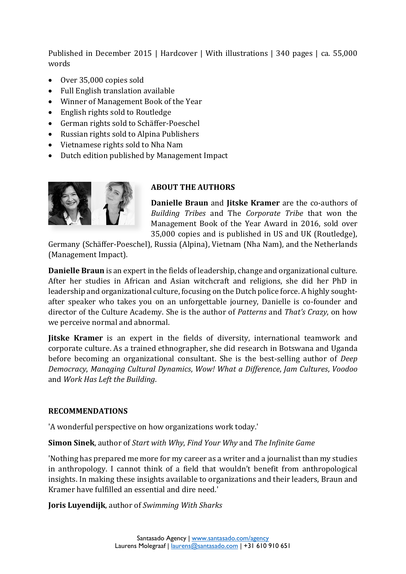Published in December 2015 | Hardcover | With illustrations | 340 pages | ca. 55,000 words

- Over 35,000 copies sold
- Full English translation available
- Winner of Management Book of the Year
- English rights sold to Routledge
- German rights sold to Schäffer-Poeschel
- Russian rights sold to Alpina Publishers
- Vietnamese rights sold to Nha Nam
- Dutch edition published by Management Impact



# **ABOUT THE AUTHORS**

**Danielle Braun** and **Jitske Kramer** are the co-authors of *Building Tribes* and The *Corporate Tribe* that won the Management Book of the Year Award in 2016, sold over 35,000 copies and is published in US and UK (Routledge),

Germany (Schäffer-Poeschel), Russia (Alpina), Vietnam (Nha Nam), and the Netherlands (Management Impact).

**Danielle Braun** is an expert in the fields of leadership, change and organizational culture. After her studies in African and Asian witchcraft and religions, she did her PhD in leadership and organizational culture, focusing on the Dutch police force. A highly soughtafter speaker who takes you on an unforgettable journey, Danielle is co-founder and director of the Culture Academy. She is the author of *Patterns* and *That's Crazy*, on how we perceive normal and abnormal.

**Jitske Kramer** is an expert in the fields of diversity, international teamwork and corporate culture. As a trained ethnographer, she did research in Botswana and Uganda before becoming an organizational consultant. She is the best-selling author of *Deep Democracy*, *Managing Cultural Dynamics*, *Wow! What a Difference*, *Jam Cultures*, *Voodoo* and *Work Has Left the Building*.

## **RECOMMENDATIONS**

'A wonderful perspective on how organizations work today.'

# **Simon Sinek**, author of *Start with Why*, *Find Your Why* and *The Infinite Game*

'Nothing has prepared me more for my career as a writer and a journalist than my studies in anthropology. I cannot think of a field that wouldn't benefit from anthropological insights. In making these insights available to organizations and their leaders, Braun and Kramer have fulfilled an essential and dire need.'

**Joris Luyendijk**, author of *Swimming With Sharks*